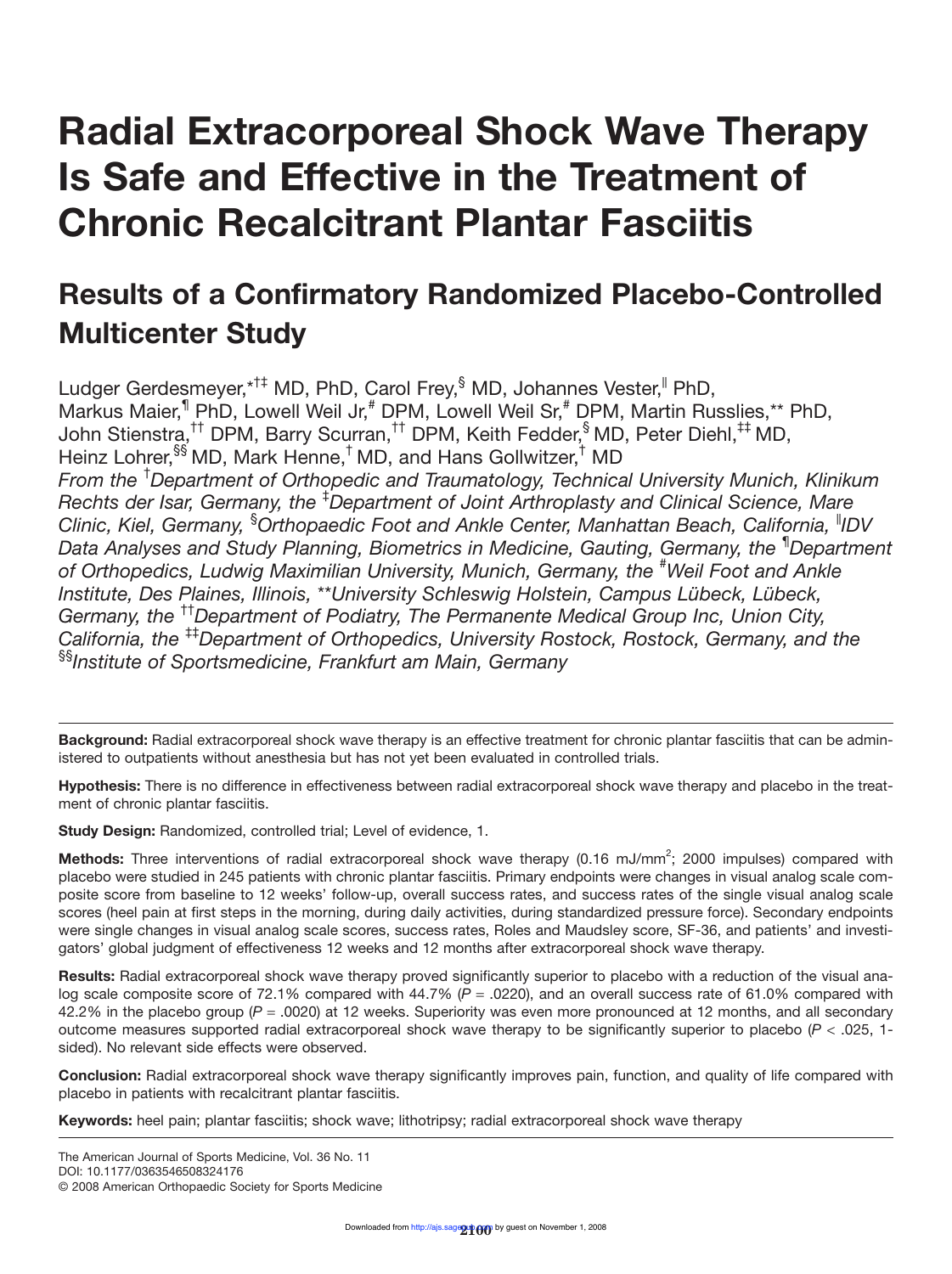# **Radial Extracorporeal Shock Wave Therapy Is Safe and Effective in the Treatment of Chronic Recalcitrant Plantar Fasciitis**

# **Results of a Confirmatory Randomized Placebo-Controlled Multicenter Study**

Ludger Gerdesmeyer, \*<sup>†‡</sup> MD, PhD, Carol Frey, MD, Johannes Vester, PhD, Markus Maier,<sup>1</sup> PhD, Lowell Weil Jr,<sup>#</sup> DPM, Lowell Weil Sr,<sup>#</sup> DPM, Martin Russlies,\*\* PhD, John Stienstra,†† DPM, Barry Scurran,†† DPM, Keith Fedder,§ MD, Peter Diehl,‡‡ MD, Heinz Lohrer, SS MD, Mark Henne,<sup>†</sup> MD, and Hans Gollwitzer,<sup>†</sup> MD *From the* † *Department of Orthopedic and Traumatology, Technical University Munich, Klinikum Rechts der Isar, Germany, the* ‡ *Department of Joint Arthroplasty and Clinical Science, Mare Clinic, Kiel, Germany,* § *Orthopaedic Foot and Ankle Center, Manhattan Beach, California,* ||*IDV Data Analyses and Study Planning, Biometrics in Medicine, Gauting, Germany, the* ¶ *Department* of Orthopedics, Ludwig Maximilian University, Munich, Germany, the <sup>#</sup>Weil Foot and Ankle *Institute, Des Plaines, Illinois,* \*\**University Schleswig Holstein, Campus Lübeck, Lübeck, Germany, the* ††*Department of Podiatry, The Permanente Medical Group Inc, Union City, California, the* ‡‡*Department of Orthopedics, University Rostock, Rostock, Germany, and the* §§*Institute of Sportsmedicine, Frankfurt am Main, Germany*

**Background:** Radial extracorporeal shock wave therapy is an effective treatment for chronic plantar fasciitis that can be administered to outpatients without anesthesia but has not yet been evaluated in controlled trials.

**Hypothesis:** There is no difference in effectiveness between radial extracorporeal shock wave therapy and placebo in the treatment of chronic plantar fasciitis.

**Study Design:** Randomized, controlled trial; Level of evidence, 1.

Methods: Three interventions of radial extracorporeal shock wave therapy (0.16 mJ/mm<sup>2</sup>; 2000 impulses) compared with placebo were studied in 245 patients with chronic plantar fasciitis. Primary endpoints were changes in visual analog scale composite score from baseline to 12 weeks' follow-up, overall success rates, and success rates of the single visual analog scale scores (heel pain at first steps in the morning, during daily activities, during standardized pressure force). Secondary endpoints were single changes in visual analog scale scores, success rates, Roles and Maudsley score, SF-36, and patients' and investigators' global judgment of effectiveness 12 weeks and 12 months after extracorporeal shock wave therapy.

**Results:** Radial extracorporeal shock wave therapy proved significantly superior to placebo with a reduction of the visual analog scale composite score of 72.1% compared with 44.7% ( $P = 0.0220$ ), and an overall success rate of 61.0% compared with 42.2% in the placebo group (*P* = .0020) at 12 weeks. Superiority was even more pronounced at 12 months, and all secondary outcome measures supported radial extracorporeal shock wave therapy to be significantly superior to placebo (*P* < .025, 1 sided). No relevant side effects were observed.

**Conclusion:** Radial extracorporeal shock wave therapy significantly improves pain, function, and quality of life compared with placebo in patients with recalcitrant plantar fasciitis.

**Keywords:** heel pain; plantar fasciitis; shock wave; lithotripsy; radial extracorporeal shock wave therapy

The American Journal of Sports Medicine, Vol. 36 No. 11 DOI: 10.1177/0363546508324176

© 2008 American Orthopaedic Society for Sports Medicine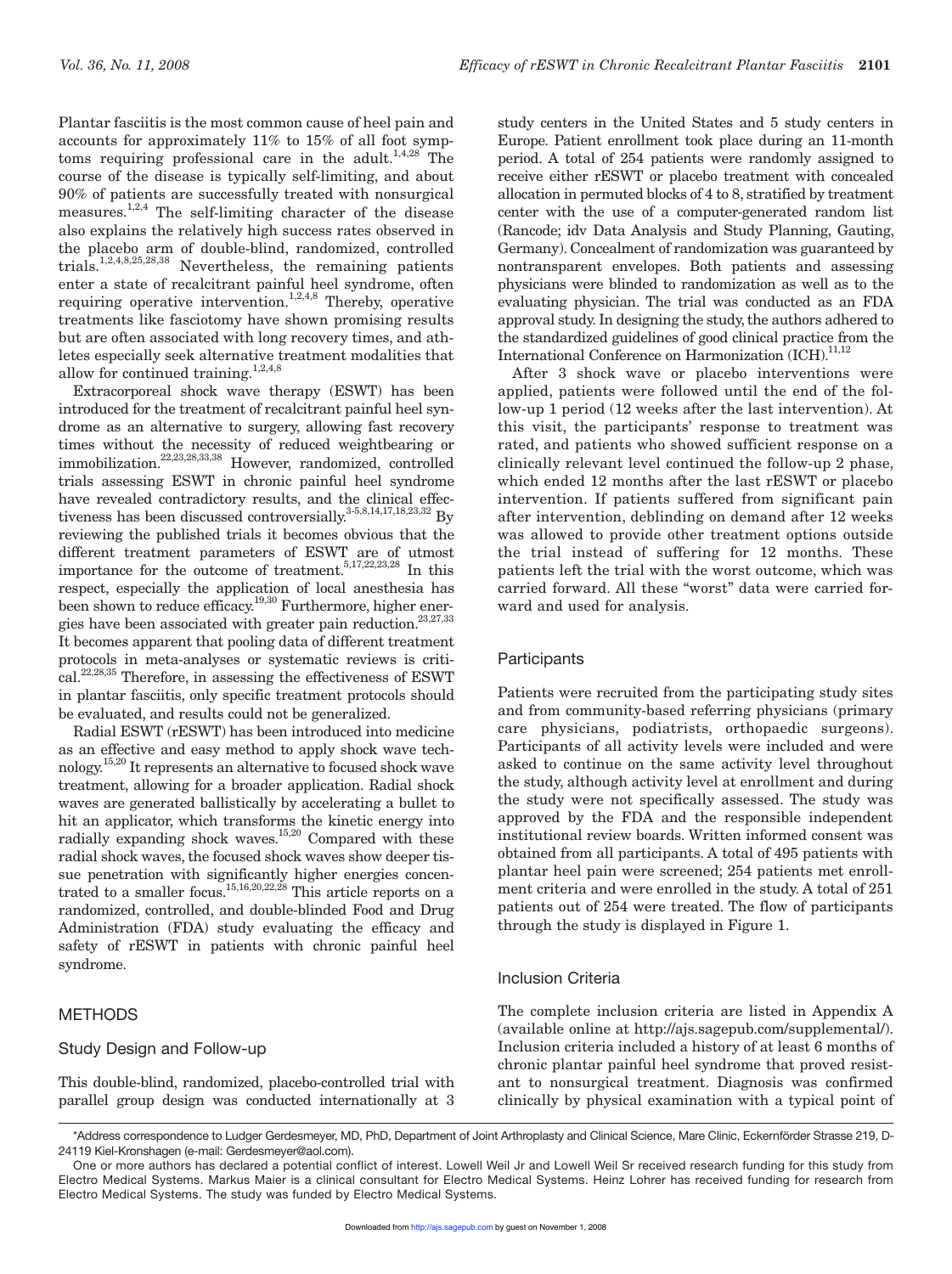Plantar fasciitis is the most common cause of heel pain and accounts for approximately 11% to 15% of all foot symptoms requiring professional care in the adult.<sup>1,4,28</sup> The course of the disease is typically self-limiting, and about 90% of patients are successfully treated with nonsurgical measures.1,2,4 The self-limiting character of the disease also explains the relatively high success rates observed in the placebo arm of double-blind, randomized, controlled trials.1,2,4,8,25,28,38 Nevertheless, the remaining patients enter a state of recalcitrant painful heel syndrome, often requiring operative intervention.<sup>1,2,4,8</sup> Thereby, operative treatments like fasciotomy have shown promising results but are often associated with long recovery times, and athletes especially seek alternative treatment modalities that allow for continued training. $1,2,4,8$ 

Extracorporeal shock wave therapy (ESWT) has been introduced for the treatment of recalcitrant painful heel syndrome as an alternative to surgery, allowing fast recovery times without the necessity of reduced weightbearing or immobilization.22,23,28,33,38 However, randomized, controlled trials assessing ESWT in chronic painful heel syndrome have revealed contradictory results, and the clinical effectiveness has been discussed controversially.<sup>3-5,8,14,17,18,23,32</sup> By reviewing the published trials it becomes obvious that the different treatment parameters of ESWT are of utmost importance for the outcome of treatment.<sup>5,17,22,23,28</sup> In this respect, especially the application of local anesthesia has been shown to reduce efficacy.<sup>19,30</sup> Furthermore, higher energies have been associated with greater pain reduction.<sup>23,27,33</sup> It becomes apparent that pooling data of different treatment protocols in meta-analyses or systematic reviews is critical.22,28,35 Therefore, in assessing the effectiveness of ESWT in plantar fasciitis, only specific treatment protocols should be evaluated, and results could not be generalized.

Radial ESWT (rESWT) has been introduced into medicine as an effective and easy method to apply shock wave technology.15,20 It represents an alternative to focused shock wave treatment, allowing for a broader application. Radial shock waves are generated ballistically by accelerating a bullet to hit an applicator, which transforms the kinetic energy into radially expanding shock waves.<sup>15,20</sup> Compared with these radial shock waves, the focused shock waves show deeper tissue penetration with significantly higher energies concentrated to a smaller focus.<sup>15,16,20,22,28</sup> This article reports on a randomized, controlled, and double-blinded Food and Drug Administration (FDA) study evaluating the efficacy and safety of rESWT in patients with chronic painful heel syndrome.

#### **METHODS**

#### Study Design and Follow-up

This double-blind, randomized, placebo-controlled trial with parallel group design was conducted internationally at 3 study centers in the United States and 5 study centers in Europe. Patient enrollment took place during an 11-month period. A total of 254 patients were randomly assigned to receive either rESWT or placebo treatment with concealed allocation in permuted blocks of 4 to 8, stratified by treatment center with the use of a computer-generated random list (Rancode; idv Data Analysis and Study Planning, Gauting, Germany). Concealment of randomization was guaranteed by nontransparent envelopes. Both patients and assessing physicians were blinded to randomization as well as to the evaluating physician. The trial was conducted as an FDA approval study. In designing the study, the authors adhered to the standardized guidelines of good clinical practice from the International Conference on Harmonization  $\text{ICH}$ <sup>11,12</sup>

After 3 shock wave or placebo interventions were applied, patients were followed until the end of the follow-up 1 period (12 weeks after the last intervention). At this visit, the participants' response to treatment was rated, and patients who showed sufficient response on a clinically relevant level continued the follow-up 2 phase, which ended 12 months after the last rESWT or placebo intervention. If patients suffered from significant pain after intervention, deblinding on demand after 12 weeks was allowed to provide other treatment options outside the trial instead of suffering for 12 months. These patients left the trial with the worst outcome, which was carried forward. All these "worst" data were carried forward and used for analysis.

#### **Participants**

Patients were recruited from the participating study sites and from community-based referring physicians (primary care physicians, podiatrists, orthopaedic surgeons). Participants of all activity levels were included and were asked to continue on the same activity level throughout the study, although activity level at enrollment and during the study were not specifically assessed. The study was approved by the FDA and the responsible independent institutional review boards. Written informed consent was obtained from all participants. A total of 495 patients with plantar heel pain were screened; 254 patients met enrollment criteria and were enrolled in the study. A total of 251 patients out of 254 were treated. The flow of participants through the study is displayed in Figure 1.

#### Inclusion Criteria

The complete inclusion criteria are listed in Appendix A (available online at http://ajs.sagepub.com/supplemental/). Inclusion criteria included a history of at least 6 months of chronic plantar painful heel syndrome that proved resistant to nonsurgical treatment. Diagnosis was confirmed clinically by physical examination with a typical point of

<sup>\*</sup>Address correspondence to Ludger Gerdesmeyer, MD, PhD, Department of Joint Arthroplasty and Clinical Science, Mare Clinic, Eckernförder Strasse 219, D-24119 Kiel-Kronshagen (e-mail: Gerdesmeyer@aol.com).

One or more authors has declared a potential conflict of interest. Lowell Weil Jr and Lowell Weil Sr received research funding for this study from Electro Medical Systems. Markus Maier is a clinical consultant for Electro Medical Systems. Heinz Lohrer has received funding for research from Electro Medical Systems. The study was funded by Electro Medical Systems.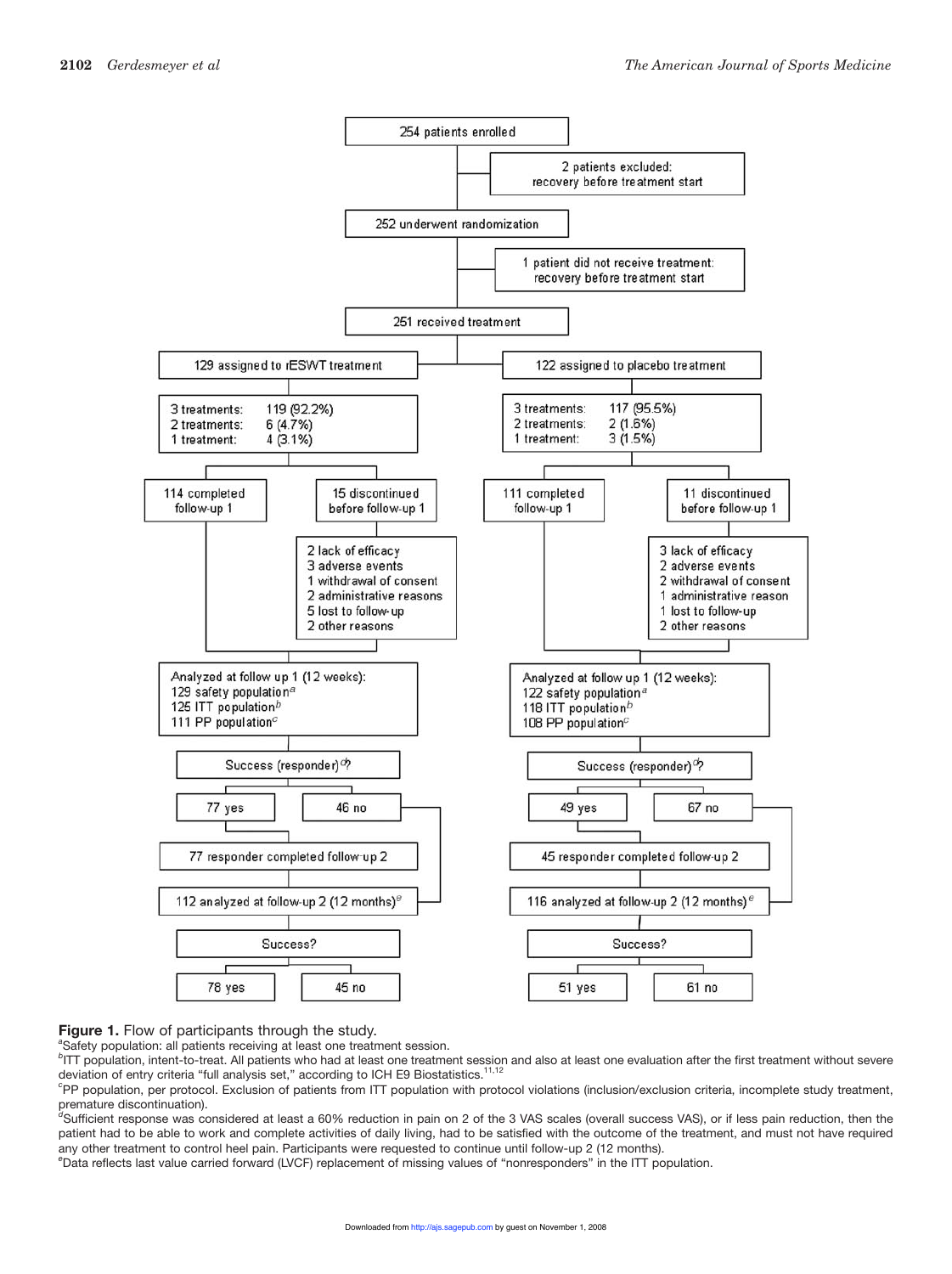

#### **Figure 1.** Flow of participants through the study. *<sup>a</sup>*

<sup>a</sup>Safety population: all patients receiving at least one treatment session.

*b* ITT population, intent-to-treat. All patients who had at least one treatment session and also at least one evaluation after the first treatment without severe deviation of entry criteria "full analysis set," according to ICH E9 Biostatistics.<sup>11,12</sup>

*c* PP population, per protocol. Exclusion of patients from ITT population with protocol violations (inclusion/exclusion criteria, incomplete study treatment, premature discontinuation).<br><sup>d</sup>Sufficient response was considered at least a 60% reduction in pain on 2 of the 3 VAS scales (overall success VAS), or if less pain reduction, then the

patient had to be able to work and complete activities of daily living, had to be satisfied with the outcome of the treatment, and must not have required any other treatment to control heel pain. Participants were requested to continue until follow-up 2 (12 months).

*e* Data reflects last value carried forward (LVCF) replacement of missing values of "nonresponders" in the ITT population.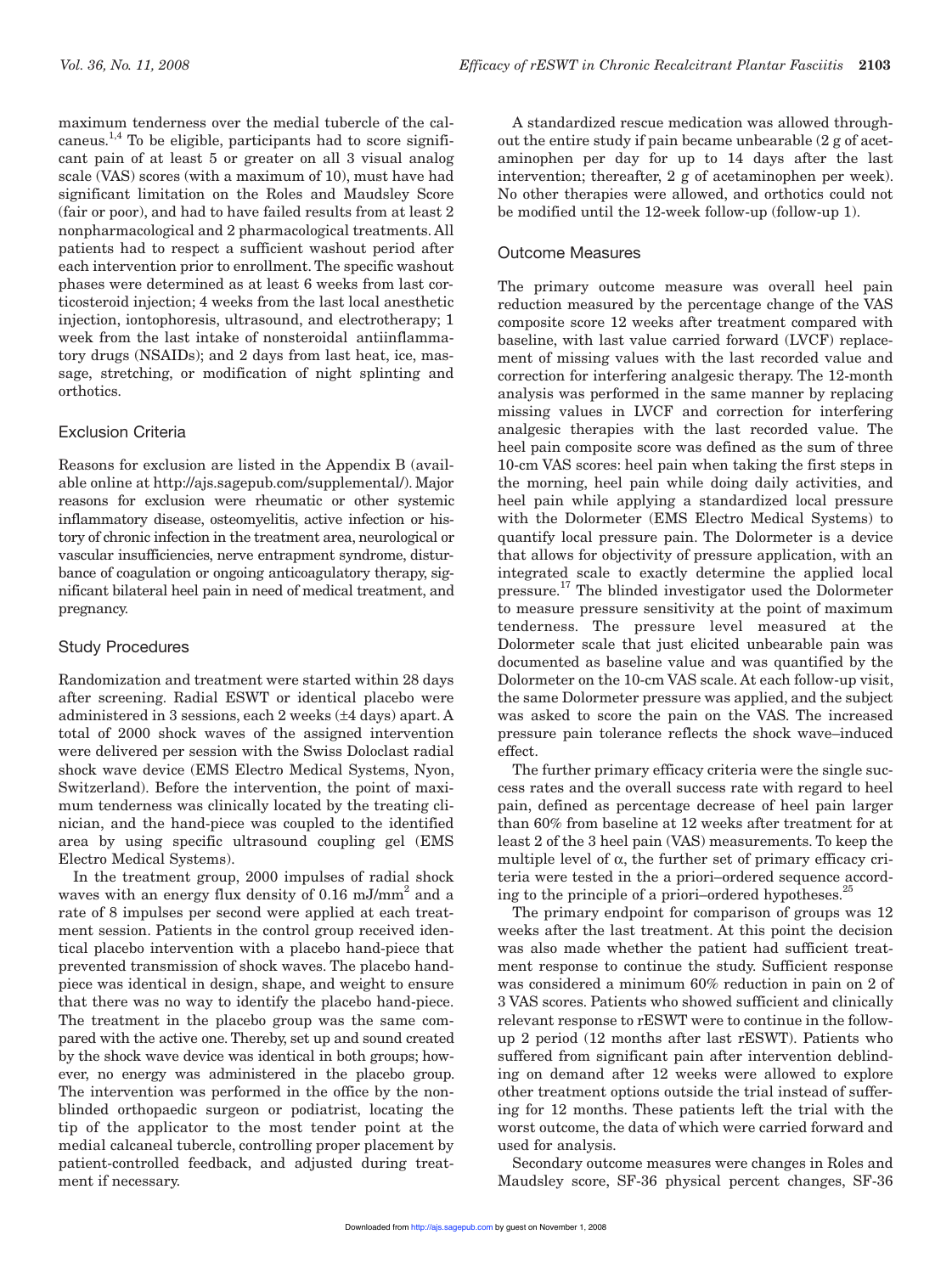maximum tenderness over the medial tubercle of the calcaneus.<sup>1,4</sup> To be eligible, participants had to score significant pain of at least 5 or greater on all 3 visual analog scale (VAS) scores (with a maximum of 10), must have had significant limitation on the Roles and Maudsley Score (fair or poor), and had to have failed results from at least 2 nonpharmacological and 2 pharmacological treatments. All patients had to respect a sufficient washout period after each intervention prior to enrollment. The specific washout phases were determined as at least 6 weeks from last corticosteroid injection; 4 weeks from the last local anesthetic injection, iontophoresis, ultrasound, and electrotherapy; 1 week from the last intake of nonsteroidal antiinflammatory drugs (NSAIDs); and 2 days from last heat, ice, massage, stretching, or modification of night splinting and orthotics.

#### Exclusion Criteria

Reasons for exclusion are listed in the Appendix B (available online at http://ajs.sagepub.com/supplemental/). Major reasons for exclusion were rheumatic or other systemic inflammatory disease, osteomyelitis, active infection or history of chronic infection in the treatment area, neurological or vascular insufficiencies, nerve entrapment syndrome, disturbance of coagulation or ongoing anticoagulatory therapy, significant bilateral heel pain in need of medical treatment, and pregnancy.

#### Study Procedures

Randomization and treatment were started within 28 days after screening. Radial ESWT or identical placebo were administered in 3 sessions, each 2 weeks (±4 days) apart. A total of 2000 shock waves of the assigned intervention were delivered per session with the Swiss Doloclast radial shock wave device (EMS Electro Medical Systems, Nyon, Switzerland). Before the intervention, the point of maximum tenderness was clinically located by the treating clinician, and the hand-piece was coupled to the identified area by using specific ultrasound coupling gel (EMS Electro Medical Systems).

In the treatment group, 2000 impulses of radial shock waves with an energy flux density of  $0.16$  mJ/mm<sup>2</sup> and a rate of 8 impulses per second were applied at each treatment session. Patients in the control group received identical placebo intervention with a placebo hand-piece that prevented transmission of shock waves. The placebo handpiece was identical in design, shape, and weight to ensure that there was no way to identify the placebo hand-piece. The treatment in the placebo group was the same compared with the active one. Thereby, set up and sound created by the shock wave device was identical in both groups; however, no energy was administered in the placebo group. The intervention was performed in the office by the nonblinded orthopaedic surgeon or podiatrist, locating the tip of the applicator to the most tender point at the medial calcaneal tubercle, controlling proper placement by patient-controlled feedback, and adjusted during treatment if necessary.

A standardized rescue medication was allowed throughout the entire study if pain became unbearable (2 g of acetaminophen per day for up to 14 days after the last intervention; thereafter, 2 g of acetaminophen per week). No other therapies were allowed, and orthotics could not be modified until the 12-week follow-up (follow-up 1).

#### Outcome Measures

The primary outcome measure was overall heel pain reduction measured by the percentage change of the VAS composite score 12 weeks after treatment compared with baseline, with last value carried forward (LVCF) replacement of missing values with the last recorded value and correction for interfering analgesic therapy. The 12-month analysis was performed in the same manner by replacing missing values in LVCF and correction for interfering analgesic therapies with the last recorded value. The heel pain composite score was defined as the sum of three 10-cm VAS scores: heel pain when taking the first steps in the morning, heel pain while doing daily activities, and heel pain while applying a standardized local pressure with the Dolormeter (EMS Electro Medical Systems) to quantify local pressure pain. The Dolormeter is a device that allows for objectivity of pressure application, with an integrated scale to exactly determine the applied local pressure.17 The blinded investigator used the Dolormeter to measure pressure sensitivity at the point of maximum tenderness. The pressure level measured at the Dolormeter scale that just elicited unbearable pain was documented as baseline value and was quantified by the Dolormeter on the 10-cm VAS scale. At each follow-up visit, the same Dolormeter pressure was applied, and the subject was asked to score the pain on the VAS. The increased pressure pain tolerance reflects the shock wave–induced effect.

The further primary efficacy criteria were the single success rates and the overall success rate with regard to heel pain, defined as percentage decrease of heel pain larger than 60% from baseline at 12 weeks after treatment for at least 2 of the 3 heel pain (VAS) measurements. To keep the multiple level of  $\alpha$ , the further set of primary efficacy criteria were tested in the a priori–ordered sequence according to the principle of a priori–ordered hypotheses.<sup>25</sup>

The primary endpoint for comparison of groups was 12 weeks after the last treatment. At this point the decision was also made whether the patient had sufficient treatment response to continue the study. Sufficient response was considered a minimum 60% reduction in pain on 2 of 3 VAS scores. Patients who showed sufficient and clinically relevant response to rESWT were to continue in the followup 2 period (12 months after last rESWT). Patients who suffered from significant pain after intervention deblinding on demand after 12 weeks were allowed to explore other treatment options outside the trial instead of suffering for 12 months. These patients left the trial with the worst outcome, the data of which were carried forward and used for analysis.

Secondary outcome measures were changes in Roles and Maudsley score, SF-36 physical percent changes, SF-36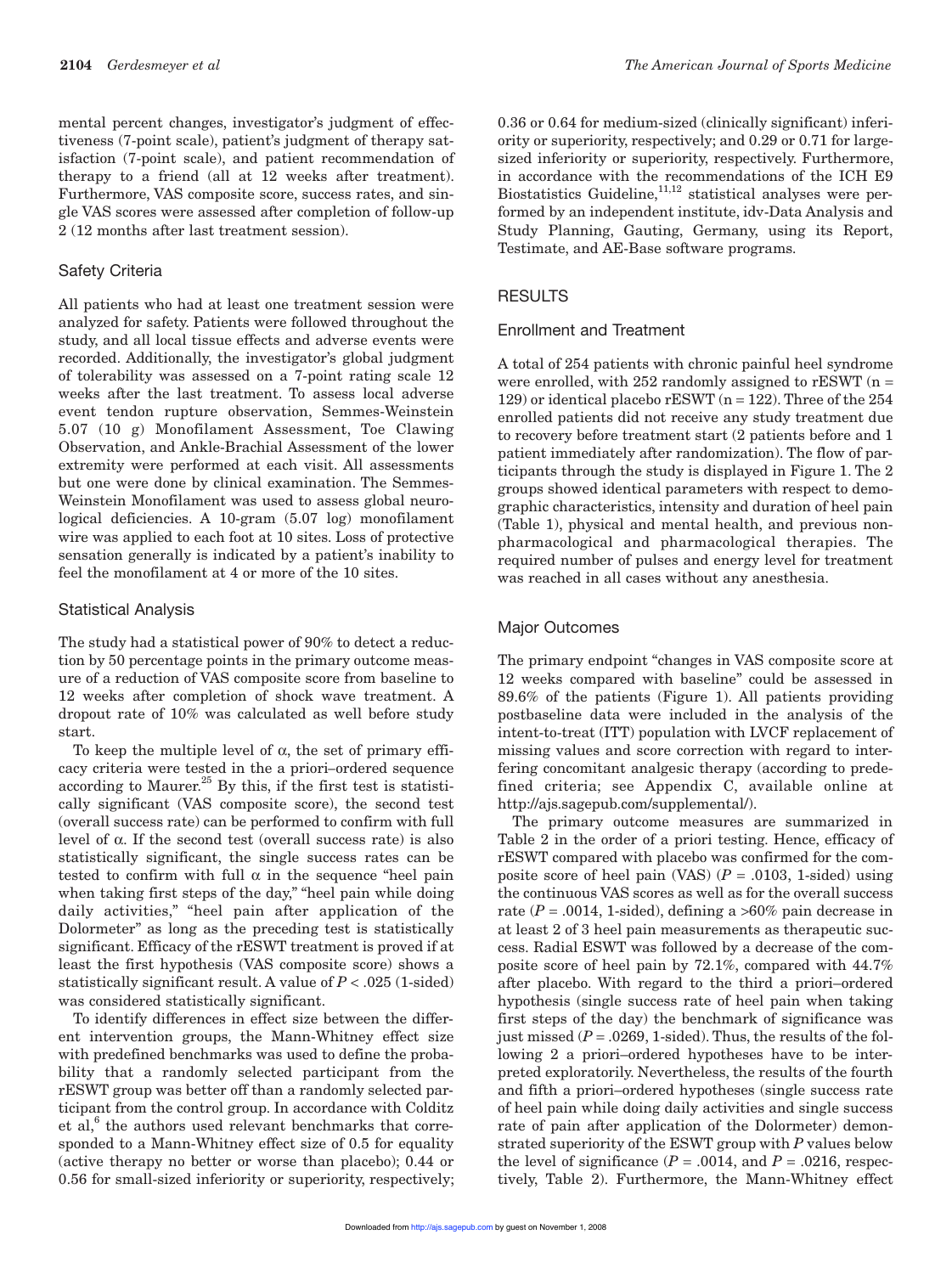mental percent changes, investigator's judgment of effectiveness (7-point scale), patient's judgment of therapy satisfaction (7-point scale), and patient recommendation of therapy to a friend (all at 12 weeks after treatment). Furthermore, VAS composite score, success rates, and single VAS scores were assessed after completion of follow-up 2 (12 months after last treatment session).

#### Safety Criteria

All patients who had at least one treatment session were analyzed for safety. Patients were followed throughout the study, and all local tissue effects and adverse events were recorded. Additionally, the investigator's global judgment of tolerability was assessed on a 7-point rating scale 12 weeks after the last treatment. To assess local adverse event tendon rupture observation, Semmes-Weinstein 5.07 (10 g) Monofilament Assessment, Toe Clawing Observation, and Ankle-Brachial Assessment of the lower extremity were performed at each visit. All assessments but one were done by clinical examination. The Semmes-Weinstein Monofilament was used to assess global neurological deficiencies. A 10-gram (5.07 log) monofilament wire was applied to each foot at 10 sites. Loss of protective sensation generally is indicated by a patient's inability to feel the monofilament at 4 or more of the 10 sites.

#### Statistical Analysis

The study had a statistical power of 90% to detect a reduction by 50 percentage points in the primary outcome measure of a reduction of VAS composite score from baseline to 12 weeks after completion of shock wave treatment. A dropout rate of 10% was calculated as well before study start.

To keep the multiple level of α, the set of primary efficacy criteria were tested in the a priori*–*ordered sequence according to Maurer. $^{25}$  By this, if the first test is statistically significant (VAS composite score), the second test (overall success rate) can be performed to confirm with full level of α. If the second test (overall success rate) is also statistically significant, the single success rates can be tested to confirm with full  $\alpha$  in the sequence "heel pain when taking first steps of the day," "heel pain while doing daily activities," "heel pain after application of the Dolormeter" as long as the preceding test is statistically significant. Efficacy of the rESWT treatment is proved if at least the first hypothesis (VAS composite score) shows a statistically significant result. A value of *P* < .025 (1-sided) was considered statistically significant.

To identify differences in effect size between the different intervention groups, the Mann-Whitney effect size with predefined benchmarks was used to define the probability that a randomly selected participant from the rESWT group was better off than a randomly selected participant from the control group. In accordance with Colditz et al, $6$  the authors used relevant benchmarks that corresponded to a Mann-Whitney effect size of 0.5 for equality (active therapy no better or worse than placebo); 0.44 or 0.56 for small-sized inferiority or superiority, respectively;

0.36 or 0.64 for medium-sized (clinically significant) inferiority or superiority, respectively; and 0.29 or 0.71 for largesized inferiority or superiority, respectively. Furthermore, in accordance with the recommendations of the ICH E9 Biostatistics Guideline, $11,12$  statistical analyses were performed by an independent institute, idv-Data Analysis and Study Planning, Gauting, Germany, using its Report, Testimate, and AE-Base software programs.

#### RESULTS

#### Enrollment and Treatment

A total of 254 patients with chronic painful heel syndrome were enrolled, with  $252$  randomly assigned to rESWT (n = 129) or identical placebo  $rESWT(n = 122)$ . Three of the 254 enrolled patients did not receive any study treatment due to recovery before treatment start (2 patients before and 1 patient immediately after randomization). The flow of participants through the study is displayed in Figure 1. The 2 groups showed identical parameters with respect to demographic characteristics, intensity and duration of heel pain (Table 1), physical and mental health, and previous nonpharmacological and pharmacological therapies. The required number of pulses and energy level for treatment was reached in all cases without any anesthesia.

## Major Outcomes

The primary endpoint "changes in VAS composite score at 12 weeks compared with baseline" could be assessed in 89.6% of the patients (Figure 1). All patients providing postbaseline data were included in the analysis of the intent-to-treat (ITT) population with LVCF replacement of missing values and score correction with regard to interfering concomitant analgesic therapy (according to predefined criteria; see Appendix C, available online at http://ajs.sagepub.com/supplemental/).

The primary outcome measures are summarized in Table 2 in the order of a priori testing. Hence, efficacy of rESWT compared with placebo was confirmed for the composite score of heel pain (VAS)  $(P = .0103, 1 \text{-sided})$  using the continuous VAS scores as well as for the overall success rate  $(P = .0014, 1 \text{-sided})$ , defining a >60% pain decrease in at least 2 of 3 heel pain measurements as therapeutic success. Radial ESWT was followed by a decrease of the composite score of heel pain by 72.1%, compared with 44.7% after placebo. With regard to the third a priori–ordered hypothesis (single success rate of heel pain when taking first steps of the day) the benchmark of significance was just missed  $(P = .0269, 1 \text{-sided})$ . Thus, the results of the following 2 a priori–ordered hypotheses have to be interpreted exploratorily. Nevertheless, the results of the fourth and fifth a priori–ordered hypotheses (single success rate of heel pain while doing daily activities and single success rate of pain after application of the Dolormeter) demonstrated superiority of the ESWT group with *P* values below the level of significance  $(P = .0014$ , and  $P = .0216$ , respectively, Table 2). Furthermore, the Mann-Whitney effect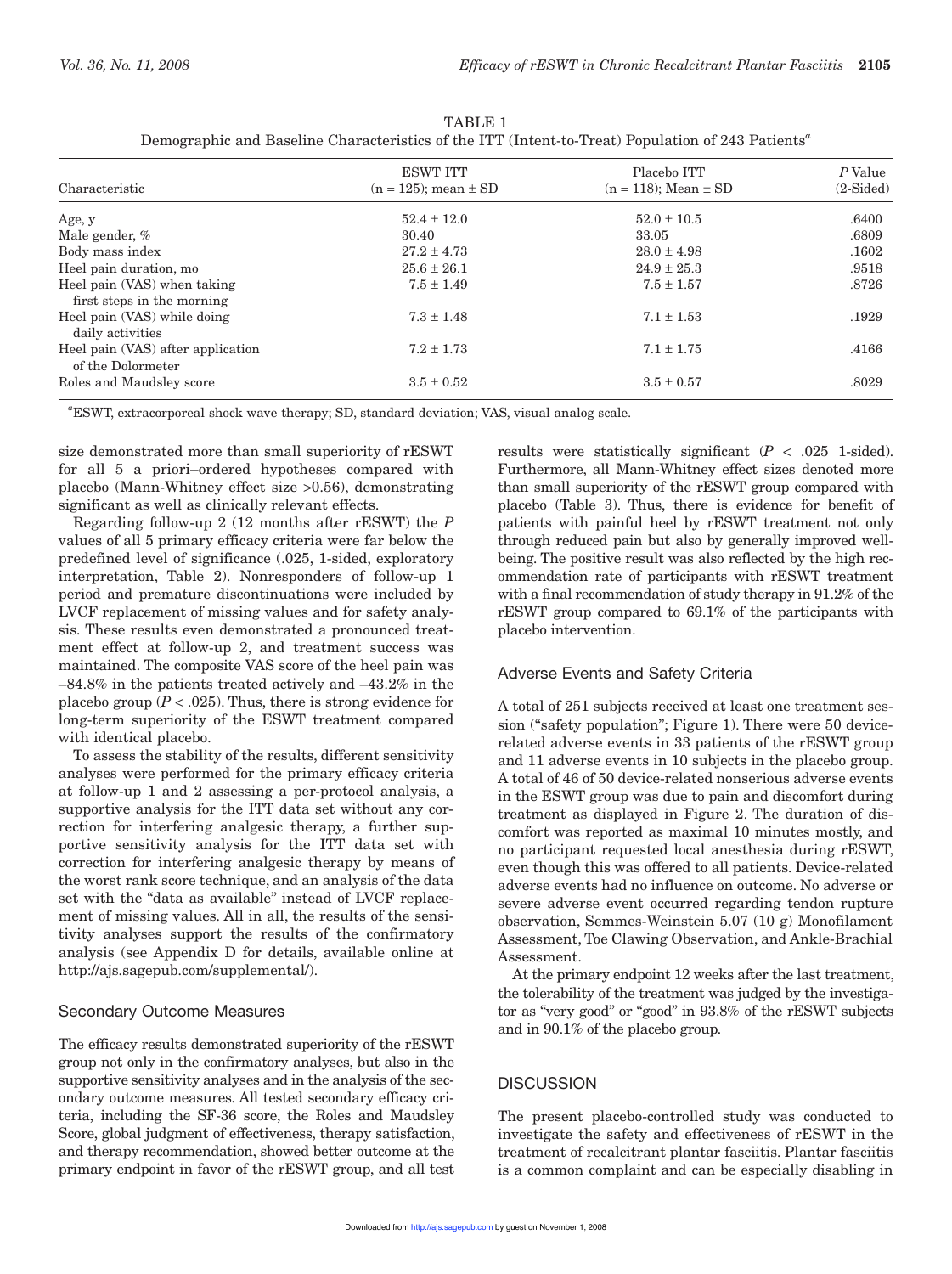| Characteristic                                            | <b>ESWT ITT</b><br>$(n = 125)$ ; mean $\pm$ SD | Placebo ITT<br>$(n = 118)$ ; Mean $\pm$ SD | P Value<br>$(2-Sided)$ |
|-----------------------------------------------------------|------------------------------------------------|--------------------------------------------|------------------------|
| Age, y                                                    | $52.4 \pm 12.0$                                | $52.0 \pm 10.5$                            | .6400                  |
| Male gender, %                                            | 30.40                                          | 33.05                                      | .6809                  |
| Body mass index                                           | $27.2 \pm 4.73$                                | $28.0 \pm 4.98$                            | .1602                  |
| Heel pain duration, mo                                    | $25.6 \pm 26.1$                                | $24.9 \pm 25.3$                            | .9518                  |
| Heel pain (VAS) when taking<br>first steps in the morning | $7.5 \pm 1.49$                                 | $7.5 \pm 1.57$                             | .8726                  |
| Heel pain (VAS) while doing<br>daily activities           | $7.3 \pm 1.48$                                 | $7.1 \pm 1.53$                             | .1929                  |
| Heel pain (VAS) after application<br>of the Dolormeter    | $7.2 \pm 1.73$                                 | $7.1 \pm 1.75$                             | .4166                  |
| Roles and Maudsley score                                  | $3.5 \pm 0.52$                                 | $3.5 \pm 0.57$                             | .8029                  |

TABLE 1 Demographic and Baseline Characteristics of the ITT (Intent-to-Treat) Population of 243 Patients*<sup>a</sup>*

*a* ESWT, extracorporeal shock wave therapy; SD, standard deviation; VAS, visual analog scale.

size demonstrated more than small superiority of rESWT for all 5 a priori–ordered hypotheses compared with placebo (Mann-Whitney effect size >0.56), demonstrating significant as well as clinically relevant effects.

Regarding follow-up 2 (12 months after rESWT) the *P* values of all 5 primary efficacy criteria were far below the predefined level of significance (.025, 1-sided, exploratory interpretation, Table 2). Nonresponders of follow-up 1 period and premature discontinuations were included by LVCF replacement of missing values and for safety analysis. These results even demonstrated a pronounced treatment effect at follow-up 2, and treatment success was maintained. The composite VAS score of the heel pain was –84.8% in the patients treated actively and –43.2% in the placebo group  $(P < .025)$ . Thus, there is strong evidence for long-term superiority of the ESWT treatment compared with identical placebo.

To assess the stability of the results, different sensitivity analyses were performed for the primary efficacy criteria at follow-up 1 and 2 assessing a per-protocol analysis, a supportive analysis for the ITT data set without any correction for interfering analgesic therapy, a further supportive sensitivity analysis for the ITT data set with correction for interfering analgesic therapy by means of the worst rank score technique, and an analysis of the data set with the "data as available" instead of LVCF replacement of missing values. All in all, the results of the sensitivity analyses support the results of the confirmatory analysis (see Appendix D for details, available online at http://ajs.sagepub.com/supplemental/).

#### Secondary Outcome Measures

The efficacy results demonstrated superiority of the rESWT group not only in the confirmatory analyses, but also in the supportive sensitivity analyses and in the analysis of the secondary outcome measures. All tested secondary efficacy criteria, including the SF-36 score, the Roles and Maudsley Score, global judgment of effectiveness, therapy satisfaction, and therapy recommendation, showed better outcome at the primary endpoint in favor of the rESWT group, and all test

results were statistically significant  $(P < .025$  1-sided). Furthermore, all Mann-Whitney effect sizes denoted more than small superiority of the rESWT group compared with placebo (Table 3). Thus, there is evidence for benefit of patients with painful heel by rESWT treatment not only through reduced pain but also by generally improved wellbeing. The positive result was also reflected by the high recommendation rate of participants with rESWT treatment with a final recommendation of study therapy in 91.2% of the rESWT group compared to 69.1% of the participants with placebo intervention.

## Adverse Events and Safety Criteria

A total of 251 subjects received at least one treatment session ("safety population"; Figure 1). There were 50 devicerelated adverse events in 33 patients of the rESWT group and 11 adverse events in 10 subjects in the placebo group. A total of 46 of 50 device-related nonserious adverse events in the ESWT group was due to pain and discomfort during treatment as displayed in Figure 2. The duration of discomfort was reported as maximal 10 minutes mostly, and no participant requested local anesthesia during rESWT, even though this was offered to all patients. Device-related adverse events had no influence on outcome. No adverse or severe adverse event occurred regarding tendon rupture observation, Semmes-Weinstein 5.07 (10 g) Monofilament Assessment, Toe Clawing Observation, and Ankle-Brachial Assessment.

At the primary endpoint 12 weeks after the last treatment, the tolerability of the treatment was judged by the investigator as "very good" or "good" in 93.8% of the rESWT subjects and in 90.1% of the placebo group.

## **DISCUSSION**

The present placebo-controlled study was conducted to investigate the safety and effectiveness of rESWT in the treatment of recalcitrant plantar fasciitis. Plantar fasciitis is a common complaint and can be especially disabling in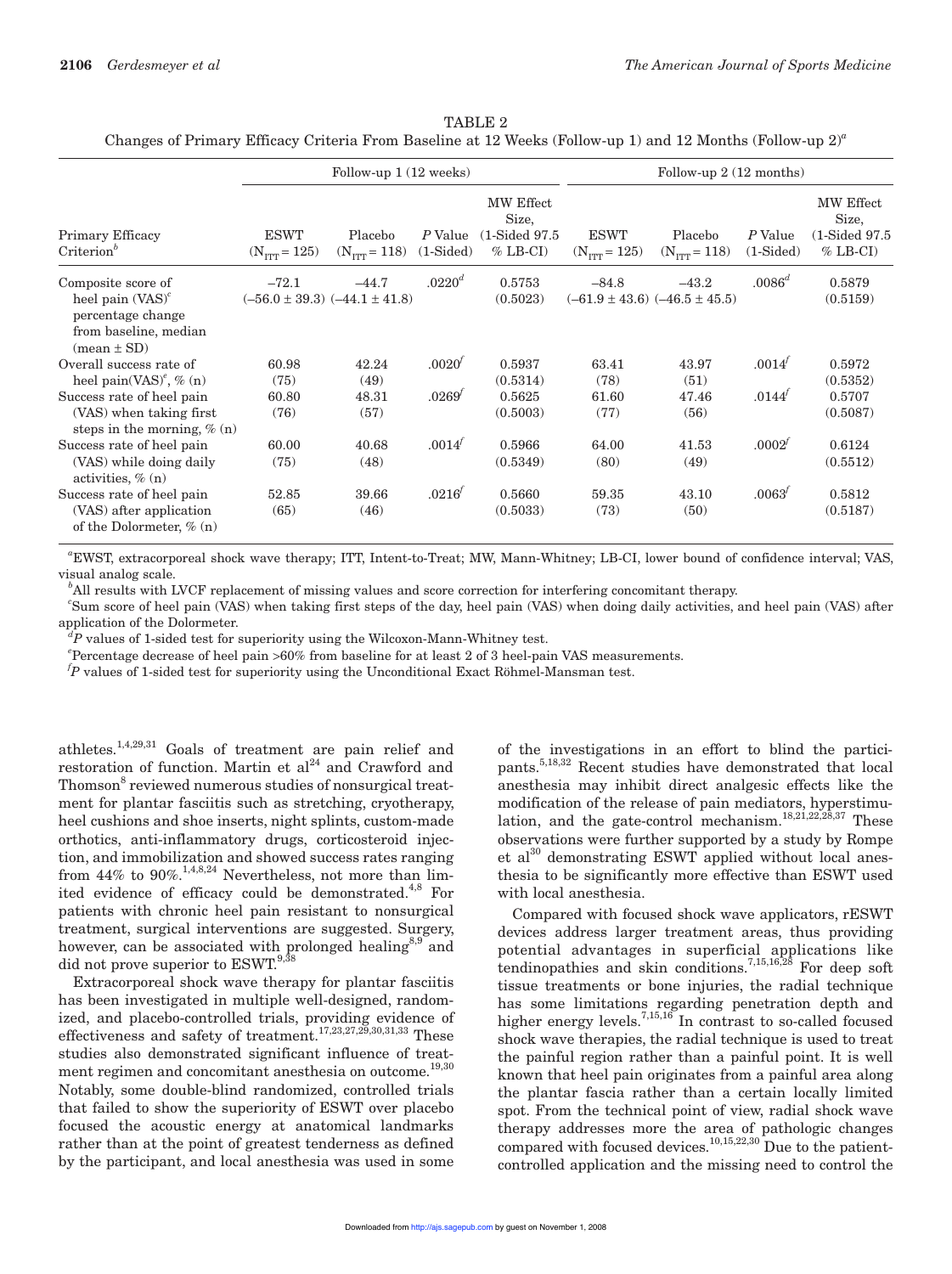| TABLE 2                                                                                                      |  |  |  |  |  |  |
|--------------------------------------------------------------------------------------------------------------|--|--|--|--|--|--|
| Changes of Primary Efficacy Criteria From Baseline at 12 Weeks (Follow-up 1) and 12 Months (Follow-up $2)^a$ |  |  |  |  |  |  |

|                                                                                    | Follow-up $1(12 \text{ weeks})$         |                                     |                        | Follow-up $2(12$ months)                                    |                                         |                                       |                        |                                                             |
|------------------------------------------------------------------------------------|-----------------------------------------|-------------------------------------|------------------------|-------------------------------------------------------------|-----------------------------------------|---------------------------------------|------------------------|-------------------------------------------------------------|
| Primary Efficacy<br>$Criterion^b$                                                  | <b>ESWT</b><br>$(N_{\text{TTT}} = 125)$ | Placebo<br>$(N_{\text{ITT}} = 118)$ | P Value<br>$(1-Sided)$ | MW Effect<br>Size,<br>$(1\text{-Sided }97.5)$<br>$%$ LB-CI) | <b>ESWT</b><br>$(N_{\text{TTT}} = 125)$ | Placebo<br>$(N_{TTT} = 118)$          | P Value<br>$(1-Sided)$ | MW Effect<br>Size,<br>$(1\text{-Sided }97.5)$<br>$%$ LB-CI) |
| Composite score of                                                                 | $-72.1$                                 | $-44.7$                             | .0220 <sup>d</sup>     | 0.5753                                                      | $-84.8$                                 | $-43.2$                               | $.0086^d$              | 0.5879                                                      |
| heel pain $(VAS)^c$<br>percentage change<br>from baseline, median<br>$mean \pm SD$ | $(-56.0 \pm 39.3)$ $(-44.1 \pm 41.8)$   |                                     |                        | (0.5023)                                                    |                                         | $(-61.9 \pm 43.6)$ $(-46.5 \pm 45.5)$ |                        | (0.5159)                                                    |
| Overall success rate of                                                            | 60.98                                   | 42.24                               | .0020'                 | 0.5937                                                      | 63.41                                   | 43.97                                 | .0014'                 | 0.5972                                                      |
| heel pain(VAS) <sup><math>\ell</math></sup> , $\%$ (n)                             | (75)                                    | (49)                                |                        | (0.5314)                                                    | (78)                                    | (51)                                  |                        | (0.5352)                                                    |
| Success rate of heel pain                                                          | 60.80                                   | 48.31                               | .0269'                 | 0.5625                                                      | 61.60                                   | 47.46                                 | .0144'                 | 0.5707                                                      |
| (VAS) when taking first<br>steps in the morning, $\%$ (n)                          | (76)                                    | (57)                                |                        | (0.5003)                                                    | (77)                                    | (56)                                  |                        | (0.5087)                                                    |
| Success rate of heel pain                                                          | 60.00                                   | 40.68                               | .0014'                 | 0.5966                                                      | 64.00                                   | 41.53                                 | .0002'                 | 0.6124                                                      |
| (VAS) while doing daily<br>activities, $\%$ (n)                                    | (75)                                    | (48)                                |                        | (0.5349)                                                    | (80)                                    | (49)                                  |                        | (0.5512)                                                    |
| Success rate of heel pain                                                          | 52.85                                   | 39.66                               | .0216'                 | 0.5660                                                      | 59.35                                   | 43.10                                 | .0063'                 | 0.5812                                                      |
| (VAS) after application<br>of the Dolormeter, % (n)                                | (65)                                    | (46)                                |                        | (0.5033)                                                    | (73)                                    | (50)                                  |                        | (0.5187)                                                    |

*a* EWST, extracorporeal shock wave therapy; ITT, Intent-to-Treat; MW, Mann-Whitney; LB-CI, lower bound of confidence interval; VAS, visual analog scale.

*b* All results with LVCF replacement of missing values and score correction for interfering concomitant therapy.

<sup>c</sup>Sum score of heel pain (VAS) when taking first steps of the day, heel pain (VAS) when doing daily activities, and heel pain (VAS) after application of the Dolormeter.

*d P* values of 1-sided test for superiority using the Wilcoxon-Mann-Whitney test.

*e* Percentage decrease of heel pain >60% from baseline for at least 2 of 3 heel-pain VAS measurements.

*f P* values of 1-sided test for superiority using the Unconditional Exact Röhmel-Mansman test.

athletes.1,4,29,31 Goals of treatment are pain relief and restoration of function. Martin et  $al<sup>24</sup>$  and Crawford and Thomson<sup>8</sup> reviewed numerous studies of nonsurgical treatment for plantar fasciitis such as stretching, cryotherapy, heel cushions and shoe inserts, night splints, custom-made orthotics, anti-inflammatory drugs, corticosteroid injection, and immobilization and showed success rates ranging from 44% to 90%.<sup>1,4,8,24</sup> Nevertheless, not more than  $\overline{\lim}$ ited evidence of efficacy could be demonstrated. $4,8$  For patients with chronic heel pain resistant to nonsurgical treatment, surgical interventions are suggested. Surgery, however, can be associated with prolonged healing<sup>8,9</sup> and did not prove superior to  $ESWT.<sup>9,38</sup>$ 

Extracorporeal shock wave therapy for plantar fasciitis has been investigated in multiple well-designed, randomized, and placebo-controlled trials, providing evidence of effectiveness and safety of treatment.17,23,27,29,30,31,33 These studies also demonstrated significant influence of treatment regimen and concomitant anesthesia on outcome.<sup>19,30</sup> Notably, some double-blind randomized, controlled trials that failed to show the superiority of ESWT over placebo focused the acoustic energy at anatomical landmarks rather than at the point of greatest tenderness as defined by the participant, and local anesthesia was used in some

of the investigations in an effort to blind the participants.5,18,32 Recent studies have demonstrated that local anesthesia may inhibit direct analgesic effects like the modification of the release of pain mediators, hyperstimulation, and the gate-control mechanism.<sup>18,21,22,28,37</sup> These observations were further supported by a study by Rompe et  $al^{30}$  demonstrating ESWT applied without local anesthesia to be significantly more effective than ESWT used with local anesthesia.

Compared with focused shock wave applicators, rESWT devices address larger treatment areas, thus providing potential advantages in superficial applications like tendinopathies and skin conditions.7,15,16,28 For deep soft tissue treatments or bone injuries, the radial technique has some limitations regarding penetration depth and higher energy levels.<sup>7,15,16</sup> In contrast to so-called focused shock wave therapies, the radial technique is used to treat the painful region rather than a painful point. It is well known that heel pain originates from a painful area along the plantar fascia rather than a certain locally limited spot. From the technical point of view, radial shock wave therapy addresses more the area of pathologic changes compared with focused devices.<sup>10,15,22,30</sup> Due to the patientcontrolled application and the missing need to control the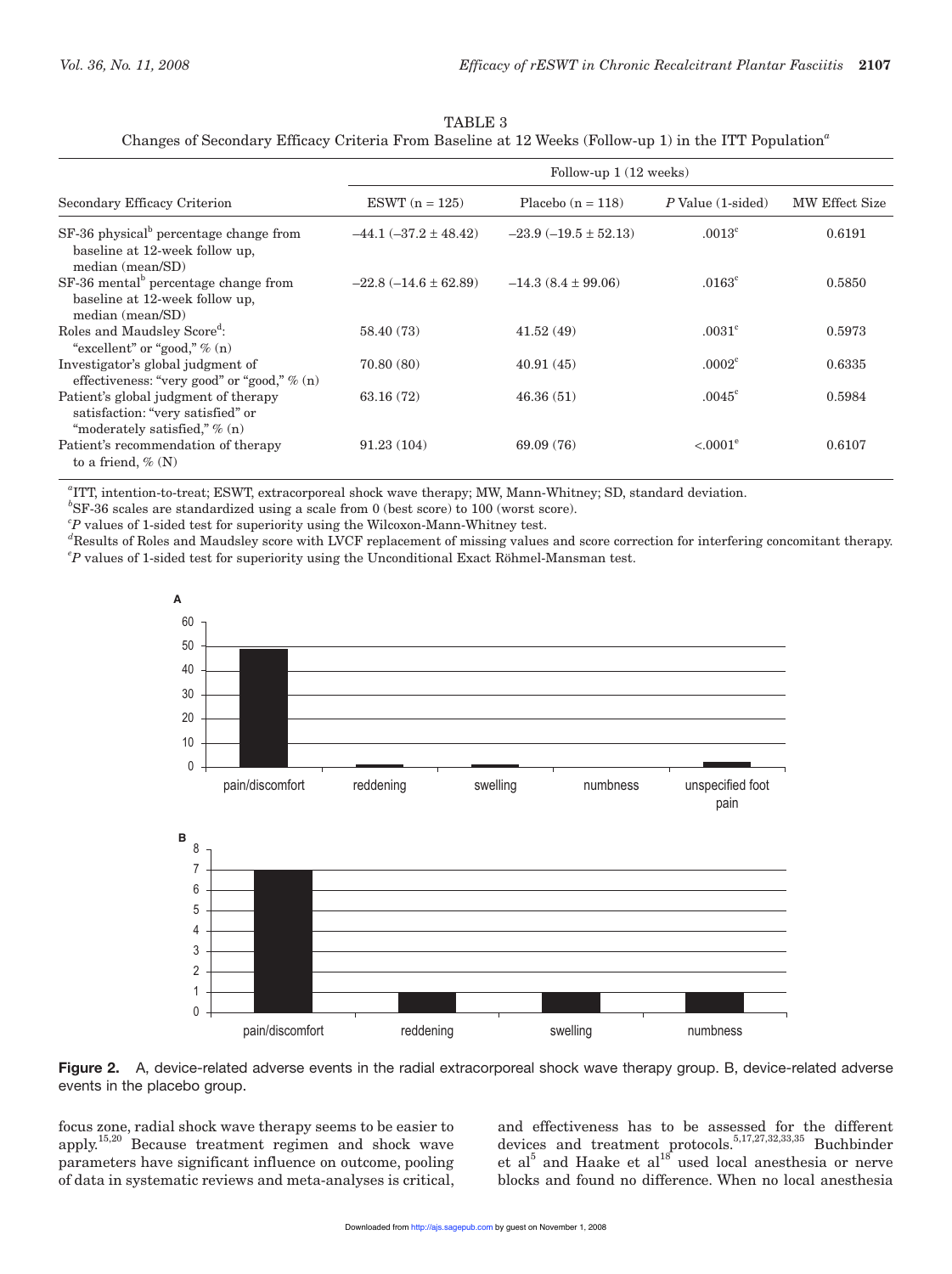| TABLE 3                                                                                                           |
|-------------------------------------------------------------------------------------------------------------------|
| Changes of Secondary Efficacy Criteria From Baseline at 12 Weeks (Follow-up 1) in the ITT Population <sup>a</sup> |

|                                                                                                              | Follow-up $1(12 \text{ weeks})$ |                          |                              |                |  |
|--------------------------------------------------------------------------------------------------------------|---------------------------------|--------------------------|------------------------------|----------------|--|
| Secondary Efficacy Criterion                                                                                 | ESWT $(n = 125)$                | Placebo $(n = 118)$      | $P$ Value $(1\text{-sided})$ | MW Effect Size |  |
| $SF-36$ physical <sup>b</sup> percentage change from<br>baseline at 12-week follow up,<br>median (mean/SD)   | $-44.1 (-37.2 \pm 48.42)$       | $-23.9(-19.5 \pm 52.13)$ | .0013 <sup>c</sup>           | 0.6191         |  |
| SF-36 mental <sup>b</sup> percentage change from<br>baseline at 12-week follow up,<br>median (mean/SD)       | $-22.8(-14.6 \pm 62.89)$        | $-14.3(8.4 \pm 99.06)$   | $.0163^{\circ}$              | 0.5850         |  |
| Roles and Maudsley Score <sup>d</sup> :<br>"excellent" or "good," $\%$ (n)                                   | 58.40 (73)                      | 41.52(49)                | .0031 <sup>c</sup>           | 0.5973         |  |
| Investigator's global judgment of<br>effectiveness: "very good" or "good," $\%$ (n)                          | 70.80(80)                       | 40.91(45)                | .0002 <sup>c</sup>           | 0.6335         |  |
| Patient's global judgment of therapy<br>satisfaction: "very satisfied" or<br>"moderately satisfied," $% (n)$ | 63.16(72)                       | 46.36(51)                | $.0045^{\circ}$              | 0.5984         |  |
| Patient's recommendation of therapy<br>to a friend, $\%$ (N)                                                 | 91.23(104)                      | 69.09 (76)               | $< 0.001^e$                  | 0.6107         |  |

*a* ITT, intention-to-treat; ESWT, extracorporeal shock wave therapy; MW, Mann-Whitney; SD, standard deviation.

*b* SF-36 scales are standardized using a scale from 0 (best score) to 100 (worst score).

*c P* values of 1-sided test for superiority using the Wilcoxon-Mann-Whitney test.

*d* Results of Roles and Maudsley score with LVCF replacement of missing values and score correction for interfering concomitant therapy. *e P* values of 1-sided test for superiority using the Unconditional Exact Röhmel-Mansman test.



**Figure 2.** A, device-related adverse events in the radial extracorporeal shock wave therapy group. B, device-related adverse events in the placebo group.

focus zone, radial shock wave therapy seems to be easier to apply.15,20 Because treatment regimen and shock wave parameters have significant influence on outcome, pooling of data in systematic reviews and meta-analyses is critical,

and effectiveness has to be assessed for the different devices and treatment protocols.<sup>5,17,27,32,33,35</sup> Buchbinder et al<sup>5</sup> and Haake et al<sup>18</sup> used local anesthesia or nerve blocks and found no difference. When no local anesthesia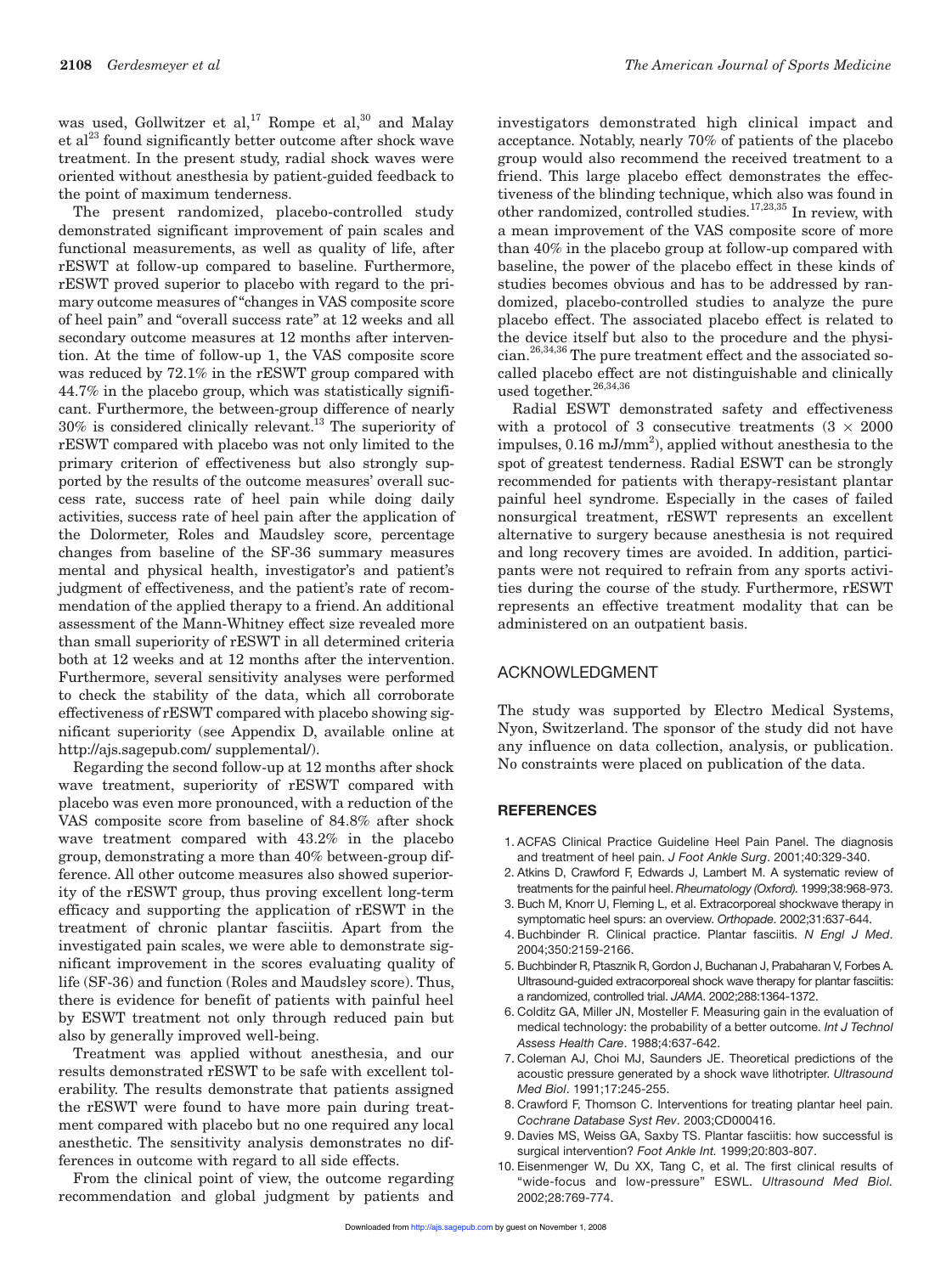was used, Gollwitzer et al,<sup>17</sup> Rompe et al,<sup>30</sup> and Malay et  $al^{23}$  found significantly better outcome after shock wave treatment. In the present study, radial shock waves were oriented without anesthesia by patient-guided feedback to the point of maximum tenderness.

The present randomized, placebo-controlled study demonstrated significant improvement of pain scales and functional measurements, as well as quality of life, after rESWT at follow-up compared to baseline. Furthermore, rESWT proved superior to placebo with regard to the primary outcome measures of "changes in VAS composite score of heel pain" and "overall success rate" at 12 weeks and all secondary outcome measures at 12 months after intervention. At the time of follow-up 1, the VAS composite score was reduced by 72.1% in the rESWT group compared with 44.7% in the placebo group, which was statistically significant. Furthermore, the between-group difference of nearly 30% is considered clinically relevant.13 The superiority of rESWT compared with placebo was not only limited to the primary criterion of effectiveness but also strongly supported by the results of the outcome measures' overall success rate, success rate of heel pain while doing daily activities, success rate of heel pain after the application of the Dolormeter, Roles and Maudsley score, percentage changes from baseline of the SF-36 summary measures mental and physical health, investigator's and patient's judgment of effectiveness, and the patient's rate of recommendation of the applied therapy to a friend. An additional assessment of the Mann-Whitney effect size revealed more than small superiority of rESWT in all determined criteria both at 12 weeks and at 12 months after the intervention. Furthermore, several sensitivity analyses were performed to check the stability of the data, which all corroborate effectiveness of rESWT compared with placebo showing significant superiority (see Appendix D, available online at http://ajs.sagepub.com/ supplemental/).

Regarding the second follow-up at 12 months after shock wave treatment, superiority of rESWT compared with placebo was even more pronounced, with a reduction of the VAS composite score from baseline of 84.8% after shock wave treatment compared with 43.2% in the placebo group, demonstrating a more than 40% between-group difference. All other outcome measures also showed superiority of the rESWT group, thus proving excellent long-term efficacy and supporting the application of rESWT in the treatment of chronic plantar fasciitis. Apart from the investigated pain scales, we were able to demonstrate significant improvement in the scores evaluating quality of life (SF-36) and function (Roles and Maudsley score). Thus, there is evidence for benefit of patients with painful heel by ESWT treatment not only through reduced pain but also by generally improved well-being.

Treatment was applied without anesthesia, and our results demonstrated rESWT to be safe with excellent tolerability. The results demonstrate that patients assigned the rESWT were found to have more pain during treatment compared with placebo but no one required any local anesthetic. The sensitivity analysis demonstrates no differences in outcome with regard to all side effects.

From the clinical point of view, the outcome regarding recommendation and global judgment by patients and

investigators demonstrated high clinical impact and acceptance. Notably, nearly 70% of patients of the placebo group would also recommend the received treatment to a friend. This large placebo effect demonstrates the effectiveness of the blinding technique, which also was found in other randomized, controlled studies.17,23,35 In review, with a mean improvement of the VAS composite score of more than 40% in the placebo group at follow-up compared with baseline, the power of the placebo effect in these kinds of studies becomes obvious and has to be addressed by randomized, placebo-controlled studies to analyze the pure placebo effect. The associated placebo effect is related to the device itself but also to the procedure and the physi $cian.<sup>26,34,36</sup>$  The pure treatment effect and the associated socalled placebo effect are not distinguishable and clinically used together.<sup>26,34,36</sup>

Radial ESWT demonstrated safety and effectiveness with a protocol of 3 consecutive treatments  $(3 \times 2000)$ impulses, 0.16 mJ/mm<sup>2</sup>), applied without anesthesia to the spot of greatest tenderness. Radial ESWT can be strongly recommended for patients with therapy-resistant plantar painful heel syndrome. Especially in the cases of failed nonsurgical treatment, rESWT represents an excellent alternative to surgery because anesthesia is not required and long recovery times are avoided. In addition, participants were not required to refrain from any sports activities during the course of the study. Furthermore, rESWT represents an effective treatment modality that can be administered on an outpatient basis.

#### ACKNOWLEDGMENT

The study was supported by Electro Medical Systems, Nyon, Switzerland. The sponsor of the study did not have any influence on data collection, analysis, or publication. No constraints were placed on publication of the data.

#### **REFERENCES**

- 1. ACFAS Clinical Practice Guideline Heel Pain Panel. The diagnosis and treatment of heel pain. *J Foot Ankle Surg*. 2001;40:329-340.
- 2. Atkins D, Crawford F, Edwards J, Lambert M. A systematic review of treatments for the painful heel. *Rheumatology (Oxford).* 1999;38:968-973.
- 3. Buch M, Knorr U, Fleming L, et al. Extracorporeal shockwave therapy in symptomatic heel spurs: an overview. *Orthopade*. 2002;31:637-644.
- 4. Buchbinder R. Clinical practice. Plantar fasciitis. *N Engl J Med*. 2004;350:2159-2166.
- 5. Buchbinder R, Ptasznik R, Gordon J, Buchanan J, Prabaharan V, Forbes A. Ultrasound-guided extracorporeal shock wave therapy for plantar fasciitis: a randomized, controlled trial. *JAMA*. 2002;288:1364-1372.
- 6. Colditz GA, Miller JN, Mosteller F. Measuring gain in the evaluation of medical technology: the probability of a better outcome. *Int J Technol Assess Health Care*. 1988;4:637-642.
- 7. Coleman AJ, Choi MJ, Saunders JE. Theoretical predictions of the acoustic pressure generated by a shock wave lithotripter. *Ultrasound Med Biol*. 1991;17:245-255.
- 8. Crawford F, Thomson C. Interventions for treating plantar heel pain. *Cochrane Database Syst Rev*. 2003;CD000416.
- 9. Davies MS, Weiss GA, Saxby TS. Plantar fasciitis: how successful is surgical intervention? *Foot Ankle Int.* 1999;20:803-807.
- 10. Eisenmenger W, Du XX, Tang C, et al. The first clinical results of "wide-focus and low-pressure" ESWL. *Ultrasound Med Biol.* 2002;28:769-774.